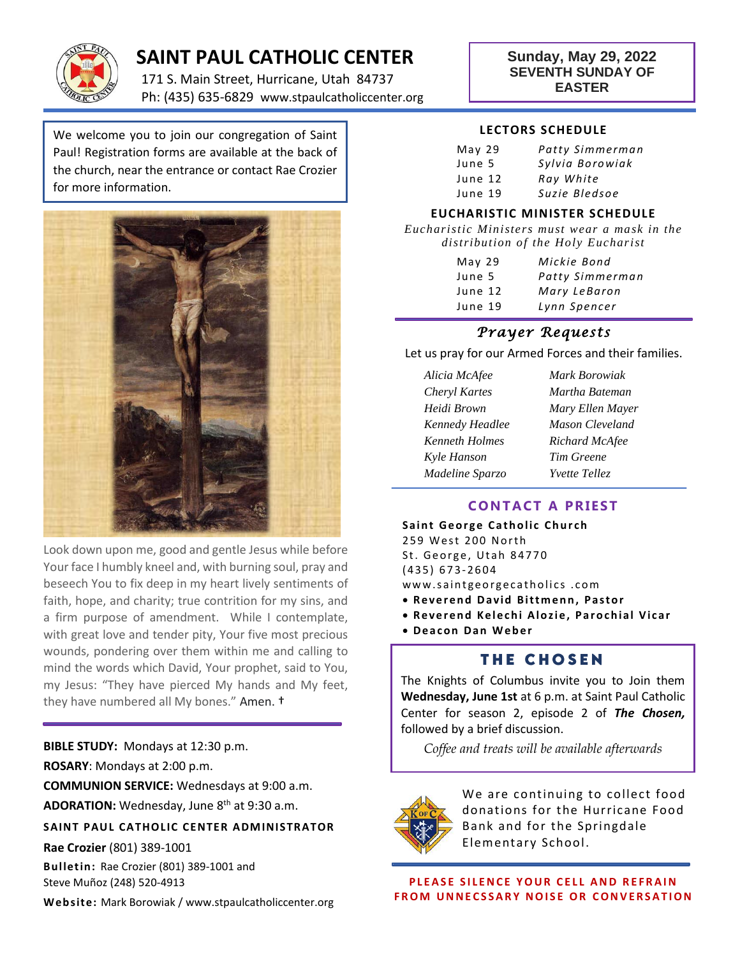

# **SAINT PAUL CATHOLIC CENTER**

171 S. Main Street, Hurricane, Utah 84737 Ph: (435) 635-6829 www.stpaulcatholiccenter.org

#### **Sunday, May 29, 2022 SEVENTH SUNDAY OF EASTER**

We welcome you to join our congregation of Saint Paul! Registration forms are available at the back of the church, near the entrance or contact Rae Crozier for more information.

i



Look down upon me, good and gentle Jesus while before Your face I humbly kneel and, with burning soul, pray and beseech You to fix deep in my heart lively sentiments of faith, hope, and charity; true contrition for my sins, and a firm purpose of amendment. While I contemplate, with great love and tender pity, Your five most precious wounds, pondering over them within me and calling to mind the words which David, Your prophet, said to You, my Jesus: "They have pierced My hands and My feet, they have numbered all My bones." Amen. †

**BIBLE STUDY:** Mondays at 12:30 p.m. **ROSARY**: Mondays at 2:00 p.m. **COMMUNION SERVICE:** Wednesdays at 9:00 a.m. **ADORATION:** Wednesday, June 8th at 9:30 a.m. **SAINT PAUL CATHOLIC CENTER ADMINISTRATOR Rae Crozier** (801) 389-1001

**Bulletin:** Rae Crozier (801) 389-1001 and Steve Muñoz (248) 520-4913

**Web site:** Mark Borowiak / www.stpaulcatholiccenter.org

#### **LECTORS SCHEDULE**

| May <sub>29</sub> | Patty Simmerman |
|-------------------|-----------------|
| June 5            | Sylvia Borowiak |
| June 12           | Ray White       |
| June 19           | Suzie Bledsoe   |

#### **EUCHARISTIC MINISTER SCHEDULE**

*Eucharistic Ministers must wear a mask in the distribution of the Holy Eucharist*

| May <sub>29</sub> | Mickie Bond     |
|-------------------|-----------------|
| June 5            | Patty Simmerman |
| June 12           | Mary LeBaron    |
| June 19           | Lynn Spencer    |

#### *Prayer Requests*

Let us pray for our Armed Forces and their families.

| Alicia McAfee   | M |
|-----------------|---|
| Cheryl Kartes   | M |
| Heidi Brown     | M |
| Kennedy Headlee | M |
| Kenneth Holmes  | R |
| Kyle Hanson     | T |
| Madeline Sparzo | Y |
|                 |   |

*Alicia McAfee Mark Borowiak Cheryl Kartes Martha Bateman Heidi Brown Mary Ellen Mayer Aason Cleveland Kenneth Holmes Richard McAfee Kyle Hanson Tim Greene Madeline Sparzo Yvette Tellez*

#### **CONTACT A PRIEST**

**Saint George Catholic Church** 259 West 200 North St. George, Utah 84770 ( 4 3 5 ) 6 7 3- 2604 www.saintgeorgecatholics.com **• Reverend David Bittmenn, Pastor** 

- **Reverend Kelechi Alozie, Parochial Vicar**
- **D e a c o n D a n W e b e r**

#### **THE CHOSEN**

The Knights of Columbus invite you to Join them **Wednesday, June 1st** at 6 p.m. at Saint Paul Catholic Center for season 2, episode 2 of *The Chosen,* followed by a brief discussion.

*Coffee and treats will be available afterwards*



We are continuing to collect food donations for the Hurricane Food Bank and for the Springdale Elementary School.

**PLEASE SILENCE YOUR CELL AND REFRAIN FROM UNNECSSARY NOISE OR CONVERSATION**